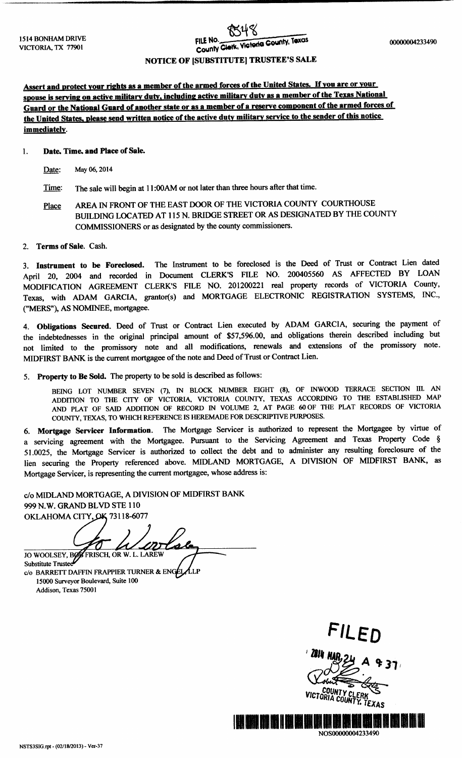# FILE No.

# NOTICE OF [SUBSTITUTE] TRUSTEE'S SALE

Assert and protect your rights as a member of the armed forces of the United States. If you are or your spouse is serving on active military duty, including active military duty as a member of the Texas National Guard or the National Guard of another state or as a member of a reserve component of the armed forces of the United States. please send written notice of the active duty military service to the sender of this notice immediately.

# 1. Date, Time, and Place of Sale.

Date: May 06, 2014

- Time: The sale will begin at 11:00AM or not later than three hours after that time.
- Place AREA IN FRONT OF THE EAST DOOR OF THE VICTORIA COUNTY COURTHOUSE BUILDING LOCATED AT 115 N. BRIDGE STREET OR AS DESIGNATED BY THE COUNTY COMMISSIONERS or as designated by the county commissioners.
- 2. Terms of Sale. Cash.

3. Instrument to be Foreclosed. The Instrument to be foreclosed is the Deed of Trust or Contract Lien dated April 20, <sup>2004</sup> and recorded in Document CLERK'<sup>S</sup> FILE NO. <sup>200405560</sup> AS AFFECTED BY LOAN MODIFICATION AGREEMENT CLERK'<sup>S</sup> FILE NO. 201200221 real property records of VICTORIA County, Texas, with ADAM GARCIA, grantor(s) and MORTGAGE ELECTRONIC REGISTRATION SYSTEMS, INC., MERS"), AS NOMINEE, mortgagee.

4. Obligations Secured. Deed of Trust or Contract Lien executed by ADAM GARCIA, securing the payment of the indebtednesses in the original principal amount of \$57,596.00, and obligations therein described including but not limited to the promissory note and all modifications, renewals and extensions of the promissory note. MIDFIRST BANK is the current mortgagee of the note and Deed of Trust or Contract Lien.

5. Property to Be Sold. The property to be sold is described as follows:

BEING LOT NUMBER SEVEN (7), IN BLOCK NUMBER EIGHT (8), OF INWOOD TERRACE SECTION III. AN ADDITION TO THE CITY OF VICTORIA, VICTORIA COUNTY, TEXAS ACCORDING TO THE ESTABLISHED MAP AND PLAT OF SAID ADDITION OF RECORD IN VOLUME 2, AT PAGE 60 OF THE PLAT RECORDS OF VICTORIA COUNTY, TEXAS, TO WHICH REFERENCE IS HEREMADE FOR DESCRIPTIVE PURPOSES.

6. Mortgage Servicer Information. The Mortgage Servicer is authorized to represent the Mortgagee by virtue of <sup>a</sup> servicing agreement with the Mortgagee. Pursuant to the Servicing Agreement and Texas Property Code § 51. 0025, the Mortgage Servicer is authorized to collect the debt and to administer any resulting foreclosure of the lien securing the Property referenced above. MIDLAND MORTGAGE, <sup>A</sup> DIVISION OF MIDFIRST BANK, as Mortgage Servicer, is representing the current mortgagee, whose address is:

c/o MIDLAND MORTGAGE, A DIVISION OF MIDFIRST BANK 999 N.W. GRAND BLVD STE 110 OKLAHOMA CITY, OK 73118-6077

for We JO WOOLSEY, BOY FRISCH, OR W. L. LAREW<br>Substitute Trustee

c/o BARRETT DAFFIN FRAPPIER TURNER & ENGEL LP 15000 Surveyor Boulevard, Suite 100 Addison, Texas 75001

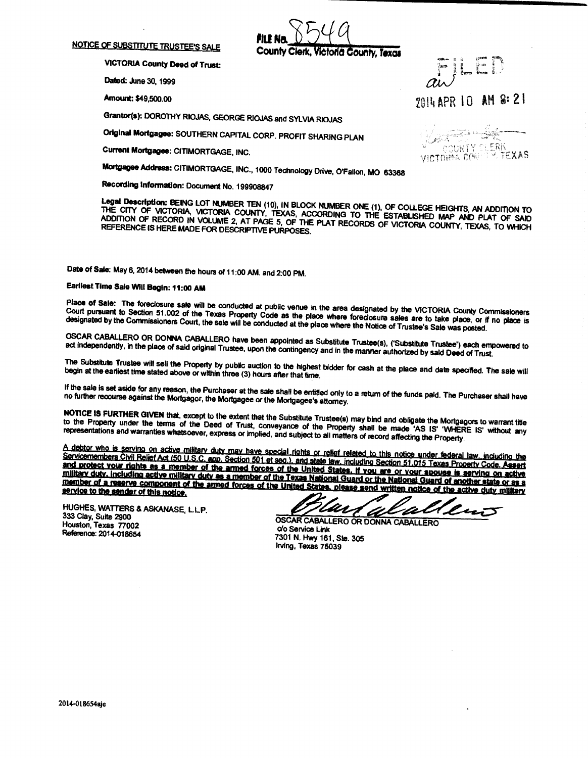#### NOTICE OF SUBSTITUTE TRUSTEE'S SALE

PILE Victoria County, Texas

VICTORIA County Deed of Trust:

Dated: June 30, 1999

Amount: \$49,500.00 014 Apr 2 Apr 2 Apr 2 Apr 2 Apr 2 Apr 2 Apr 2 Apr 2 Apr 2 Apr 2 Apr 2 Apr 2 Apr 2 Apr 2 Apr 2 Apr 2 Apr 2 Apr 2 Apr 2 Apr 2 Apr 2 Apr 2 Apr 2 Apr 2 Apr 2 Apr 2 Apr 2 Apr 2 Apr 2 Apr 2 Apr 2 Apr 2 Apr 2

Grantor(s): DOROTHY RIOJAS, GEORGE RIOJAS and SYLVIA RIOJAS

Original Mortgagee: SOUTHERN CAPITAL CORP. PROFIT SHARING PLAN

Current Mortgagee: CITIMORTGAGE, INC.

Jar<del>etti v</del> VIT COUNTY CLERK

x

Mortgagee Address: CITIMORTGAGE, INC., 1000 Technology Drive, O'Fallon, MO 63388

Recording Information: Document No. 199908847

THE CITY OF VICTORIA, VICTORIA COUNTY TEXAS ACCORDING TO THE COLLEGE HEIGHTS, AN ADDITION TO ADDITION OF RECORD IN VOLUME 2 AT PACE 5 OF THE BLAT DEGREES ASSESSMENTED MAP AND PLAT OF SAID REFERENCE IS HERE MADE FOR DESCRIPTIVE PURPOSES. 5, ALCORDS OF VICTORIA COUNTY, TEXAS, TO WHICH

Date of Sale: May 6, 2014 between the hours of 11:00 AM. and 2:00 PM.

# Earliest Time Sale Will Begin: 11:00 AM

Place of Sale: The foreclosure sale will be conducted at public venue in the area designated by the VICTORIA County Commissioners<br>Court pursuant to Section 51.002 of the Texas Property Code as the place where foreclosure s designated by the Commissioners Court, the sale will be conducted at the place where the Notice of Trustee's Sale was posted.

OSCAR CABALLERO OR DONNA CABALLERO have been appointed as Substitute Trustee(s), ('Substitute Trustee') each empowered to act independently, in the place of said original Trustee, upon the contingency and in the manner authorized by said Deed of Trust.

The Substitute Trustee will sell the Property by public auction to the highest bidder for cash at the place and date specified. The sale will begin at the earliest time stated above or within three (3) hours after that tim

If the sale is set aside for any reason, the Purchaser at the sale shall be entitled only to a retum of the funds pald. The Purchaser shall have<br>no further recourse against the Mortgagor, the Mortgagee or the Mortgagee's a

Notice is further that the terms of the Deed of Trust, conveyance of the Property shall be made 'AS IS' 'WHERE IS' without any representations and warranties whatsoever, express or implied, and subject to all matters of record affecting the Property.

A debtor who is serving on active military duty may have special rights or relief related to this notice under federal law, including the<br>Servicemembers Civil Relief Act (50 U.S.C. app. Section 501 et seg.), and state law, and protect your rights as a member of the armed forces of the United States. If you are or your spouse is serving on active<br>military duty, including active military duty as a member of the Texas National Guard or the Nati member of a reserve component of the armed forces of the United States, please send written will be nother state or as a service to the sender of this notice.

HUGHES, WATTERS& ASKANASE, LLP. 333 Clay, Suite 2900 333 Clay, Suite 2900<br>Houston, Texas 77002<br>Reference: 2014-018654<br>Reference: 2014-018654

'M lus 'D

7301 N. Hwy 161, Ste. 305 Irving, Texas 75039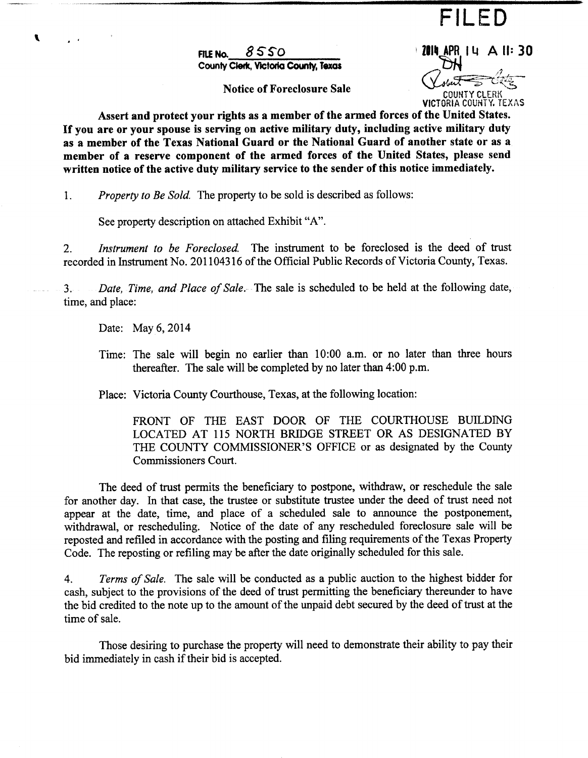FILED

FILE NO. 8550 2011 2014 APR 14 A 11:30 County Clerk, Victoria County, Texas

Notice of Foreclosure Sale

.<br>44 3 VICTORIA COUNTY. TEXAS

Assert and protect your rights as a member of the armed forces of the United States. If you are or your spouse is serving on active military duty, including active military duty as a member of the Texas National Guard or the National Guard of another state or as a member of a reserve component of the armed forces of the United States, please send written notice of the active duty military service to the sender of this notice immediately.

1. Property to Be Sold. The property to be sold is described as follows:

See property description on attached Exhibit "A".

2. Instrument to be Foreclosed. The instrument to be foreclosed is the deed of trust recorded in Instrument No. 201104316 of the Official Public Records of Victoria County, Texas.

3. Date, Time, and Place of Sale. The sale is scheduled to be held at the following date, time, and place:

Date: May 6, 2014

 $\blacktriangleright$ 

Time: The sale will begin no earlier than 10:00 a.m. or no later than three hours thereafter. The sale will be completed by no later than 4:00 p.m.

Place: Victoria County Courthouse, Texas, at the following location:

FRONT OF THE EAST DOOR OF THE COURTHOUSE BUILDING LOCATED AT 115 NORTH BRIDGE STREET OR AS DESIGNATED BY THE COUNTY COMMISSIONER'S OFFICE or as designated by the County Commissioners Court.

The deed of trust permits the beneficiary to postpone, withdraw, or reschedule the sale for another day. In that case, the trustee or substitute trustee under the deed of trust need not appear at the date, time, and place of <sup>a</sup> scheduled sale to announce the postponement, withdrawal, or rescheduling. Notice of the date of any rescheduled foreclosure sale will be reposted and refiled in accordance with the posting and filing requirements of the Texas Property Code. The reposting or refiling may be after the date originally scheduled for this sale.

4. Terms of Sale. The sale will be conducted as a public auction to the highest bidder for cash, subject to the provisions of the deed of trust permitting the beneficiary thereunder to have the bid credited to the note up to the amount of the unpaid debt secured by the deed of trust at the time of sale.

Those desiring to purchase the property will need to demonstrate their ability to pay their bid immediately in cash if their bid is accepted.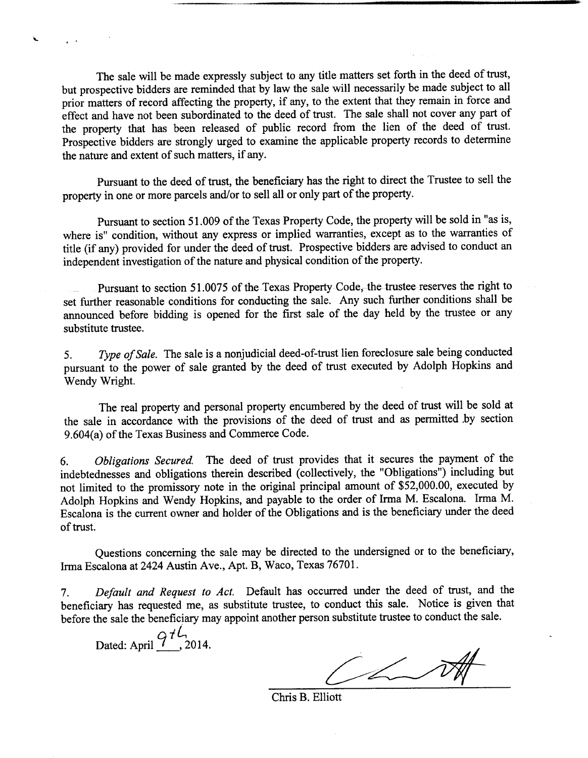The sale will be made expressly subject to any title matters set forth in the deed of trust, but prospective bidders are reminded that by law the sale will necessarily be made subject to all prior matters of record affecting the property, if any, to the extent that they remain in force and effect and have not been subordinated to the deed of trust. The sale shall not cover any part of the property that has been released of public record from the lien of the deed of trust. Prospective bidders are strongly urged to examine the applicable property records to determine the nature and extent of such matters, if any.

Pursuant to the deed of trust, the beneficiary has the right to direct the Trustee to sell the property in one or more parcels and/or to sell all or only part of the property.

Pursuant to section 51. 009 of the Texas Property Code, the property will be sold in "as is, where is" condition, without any express or implied warranties, except as to the warranties of title (if any) provided for under the deed of trust. Prospective bidders are advised to conduct an independent investigation of the nature and physical condition of the property.

Pursuant to section 51. 0075 of the Texas Property Code, the trustee reserves the right to set further reasonable conditions for conducting the sale. Any such further conditions shall be announced before bidding is opened for the first sale of the day held by the trustee or any substitute trustee.

5. Type of Sale. The sale is a nonjudicial deed-of-trust lien foreclosure sale being conducted pursuant to the power of sale granted by the deed of trust executed by Adolph Hopkins and Wendy Wright.

The real property and personal property encumbered by the deed of trust will be sold at the sale in accordance with the provisions of the deed of trust and as permitted .by section 9.604(a) of the Texas Business and Commerce Code.

6. Obligations Secured. The deed of trust provides that it secures the payment of the indebtednesses and obligations therein described (collectively, the "Obligations") including but not limited to the promissory note in the original principal amount of \$52,000.00, executed by Adolph Hopkins and Wendy Hopkins, and payable to the order of Irma M. Escalona. Irma M. Escalona is the current owner and holder of the Obligations and is the beneficiary under the deed of trust.

Questions concerning the sale may be directed to the undersigned or to the beneficiary, Irma Escalona at 2424 Austin Ave., Apt. B, Waco, Texas 76701.

7. Default and Request to Act. Default has occurred under the deed of trust, and the beneficiary has requested me, as substitute trustee, to conduct this sale. Notice is given that before the sale the beneficiary may appoint another person substitute trustee to conduct the sale.

Dated: April  $\frac{97}{10}$ , 2014.

 $\overline{\phantom{a}}$ 

Jha

Chris B. Elliott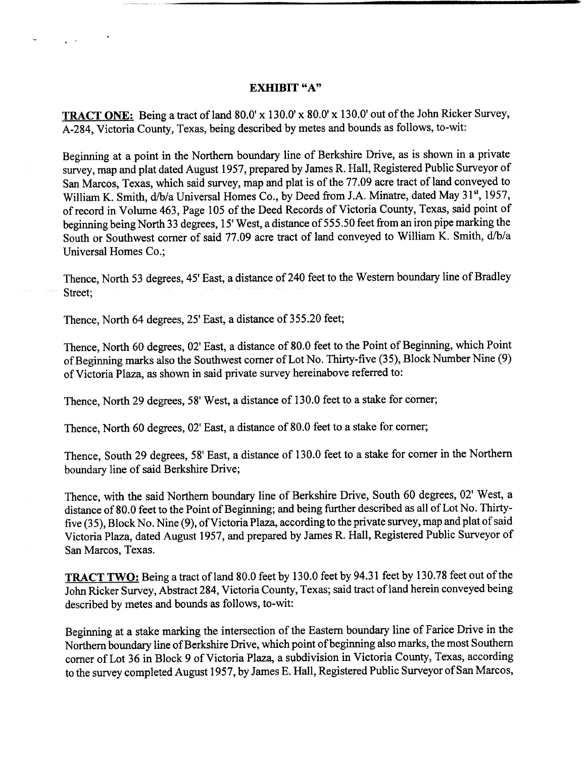# EXHIBIT "A"

TRACT ONE: Being a tract of land 80.0' x 130.0' x 80.0' x 130.0' out of the John Ricker Survey, A-284, Victoria County, Texas, being described by metes and bounds as follows, to-wit:

Beginning at <sup>a</sup> point in the Northern boundary line of Berkshire Drive, as is shown in a private survey, map and plat dated August 1957, prepared by James R. Hall, Registered Public Surveyor of San Marcos, Texas, which said survey, map and plat is of the 77.09 acre tract of land conveyed to William K. Smith, d/b/a Universal Homes Co., by Deed from J.A. Minatre, dated May 31st, 1957, of record in Volume 463, Page 105 of the Deed Records of Victoria County, Texas, said point of beginning being North 33 degrees, 15' West, a distance of 555. 50 feet from an iron pipe marking the South or Southwest corner of said 77.09 acre tract of land conveyed to William K. Smith, d/b/a Universal Homes Co.;

Thence, North 53 degrees, 45' East, a distance of 240 feet to the Western boundary line of Bradley Street;

Thence, North 64 degrees, 25' East, a distance of 355. 20 feet;

Ł,

Thence, North 60 degrees, 02' East, a distance of 80.0 feet to the Point of Beginning, which Point of Beginning marks also the Southwest corner of Lot No. Thirty-five (35), Block Number Nine (9) ofVictoria Plaza, as shown in said private survey hereinabove referred to:

Thence, North 29 degrees, 58' West, a distance of 130. 0 feet to <sup>a</sup> stake for corner;

Thence, North 60 degrees, 02' East, a distance of 80.0 feet to a stake for corner;

Thence, South 29 degrees, 58' East, a distance of 130.0 feet to <sup>a</sup> stake for corner in the Northern boundary line of said Berkshire Drive;

Thence, with the said Northern boundary line of Berkshire Drive, South 60 degrees, 02' West, a distance of 80.0 feet to the Point of Beginning; and being further described as all of Lot No. Thirtyfive (35), Block No. Nine (9), of Victoria Plaza, according to the private survey, map and plat of said Victoria Plaza, dated August 1957, and prepared by James R. Hall, Registered Public Surveyor of San Marcos, Texas.

TRACT TWO: Being a tract of land 80.0 feet by 130.0 feet by 94.31 feet by 130.78 feet out of the John Ricker Survey, Abstract 284, Victoria County, Texas; said tract ofland herein conveyed being described by metes and bounds as follows, to-wit:

Beginning at a stake marking the intersection of the Eastern boundary line of Farice Drive in the Northern boundary line of Berkshire Drive, which point of beginning also marks, the most Southern corner of Lot 36 in Block 9 of Victoria Plaza, a subdivision in Victoria County, Texas, according to the survey completed August 1957, by James E. Hall, Registered Public Surveyor of San Marcos,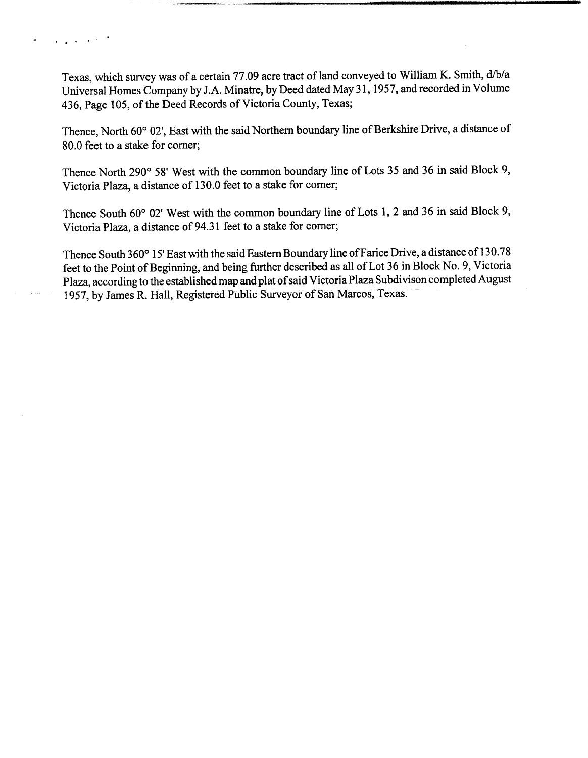Texas, which survey was of a certain 77.09 acre tract of land conveyed to William K. Smith, d/b/a Universal Homes Company by J.A. Minatre, by Deed dated May 31, 1957, and recorded in Volume 436, Page 105, of the Deed Records of Victoria County, Texas;

Thence, North 60° 02', East with the said Northern boundary line of Berkshire Drive, a distance of 80.0 feet to a stake for corner;

Thence North 290° 58' West with the common boundary line of Lots 35 and 36 in said Block 9, Victoria Plaza, a distance of 130.0 feet to <sup>a</sup> stake for corner;

Thence South 60° 02' West with the common boundary line of Lots 1, 2 and 36 in said Block 9, Victoria Plaza, a distance of 94.31 feet to <sup>a</sup> stake for corner;

Thence South 360° 15' East with the said Eastern Boundary line of Farice Drive, a distance of 130.78 feet to the Point of Beginning, and being further described as all of Lot 36 in Block No. 9, Victoria Plaza, according to the established map and plat of said Victoria Plaza Subdivison completed August <sup>1</sup> 957, by James R. Hall, Registered Public Surveyor of San Marcos, Texas.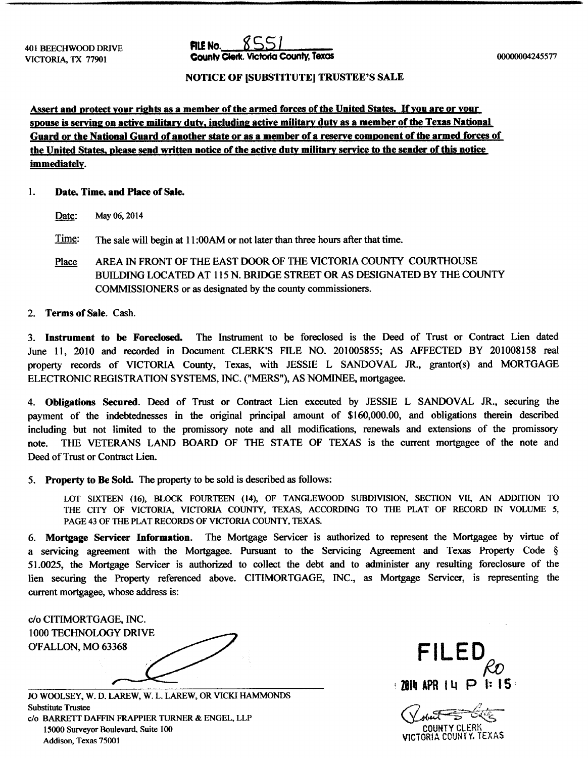

### NOTICE OF [SUBSTITUTE] TRUSTEE'S SALE

Assert and protect your rights as a member of the armed forces of the United States. If you are or your spouse is serving on active military duty, including active military duty as a member of the Texas National Guard or the National Guard of another state or as a member of a reserve component of the armed forces of the United States, please send written notice of the active duty military service to the sender of this notice immediately.

### 1. Date, Time, and Place of Sale.

Date: May 06, 2014

Time: The sale will begin at 11:00AM or not later than three hours after that time.

Place AREA IN FRONT OF THE EAST DOOR OF THE VICTORIA COUNTY COURTHOUSE BUILDING LOCATED AT 115 N. BRIDGE STREET OR AS DESIGNATED BY THE COUNTY COMMISSIONERS or as designated by the county commissioners.

# 2. Terms of Sale. Cash.

3. Instrument to be Foreclosed. The Instrument to be foreclosed is the Deed of Trust or Contract Lien dated June 11, 2010 and recorded in Document CLERK'S FILE NO. 201005855; AS AFFECTED BY 201008158 real property records of VICTORIA County, Texas, with JESSIE L SANDOVAL JR., grantor(s) and MORTGAGE ELECTRONIC REGISTRATION SYSTEMS, INC.(" MERS"), AS NOMINEE, mortgagee.

4. Obligations Secured. Deed of Trust or Contract Lien executed by JESSIE L SANDOVAL JR., securing the payment of the indebtednesses in the original principal amount of \$160,000.00, and obligations therein described including but not limited to the promissory note and all modifications, renewals and extensions of the promissory note. THE VETERANS LAND BOARD OF THE STATE OF TEXAS is the current mortgagee of the note and Deed of Trust or Contract Lien.

5. Property to Be Sold. The property to be sold is described as follows:

LOT SIXTEEN (16), BLOCK FOURTEEN (14), OF TANGLEWOOD SUBDIVISION, SECTION VII, AN ADDITION TO THE CITY OF VICTORIA, VICTORIA COUNTY, TEXAS, ACCORDING TO THE PLAT OF RECORD IN VOLUME 5, PAGE 43 OF THE PLAT RECORDS OF VICTORIA COUNTY, TEXAS.

6. Mortgage Servicer Information. The Mortgage Servicer is authorized to represent the Mortgagee by virtue of <sup>a</sup> servicing agreement with the Mortgagee. Pursuant to the Servicing Agreement and Texas Property Code § 51. 0025, the Mortgage Servicer is authorized to collect the debt and to administer any resulting foreclosure of the lien securing the Property referenced above. CITIMORTGAGE, INC., as Mortgage Servicer, is representing the current mortgagee, whose address is:

c/o CITIMORTGAGE, INC. 1000 TECHNOLOGY DRIVE O'FALLON, MO 63368 FILED

JO WOOLSEY, W. D. LAREW, W. L. LAREW, OR VICKI HAMMONDS Substitute Trustee c/o BARRETT DAFFIN FRAPPIER TURNER & ENGEL, LLP 15000 Surveyor Boulevard, Suite 100 COUNTY CLERK Addison, Texas 75001 VICTORIA COUNTY. TEXAS